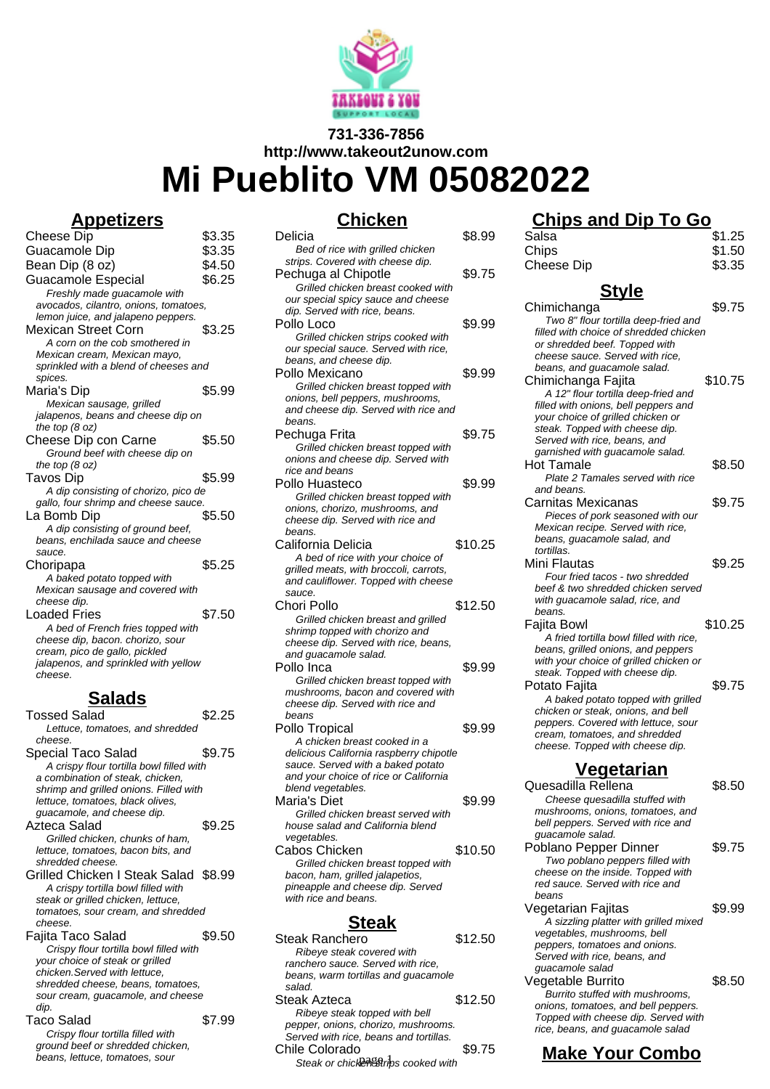

# **731-336-7856 http://www.takeout2unow.com Mi Pueblito VM 05082022**

### **Appetizers**

**Chicken**

| \$3.35                                                                     |
|----------------------------------------------------------------------------|
| \$3.35                                                                     |
| \$4.50                                                                     |
| \$6.25                                                                     |
|                                                                            |
| avocados, cilantro, onions, tomatoes,                                      |
|                                                                            |
| \$3.25                                                                     |
|                                                                            |
|                                                                            |
| sprinkled with a blend of cheeses and                                      |
|                                                                            |
| \$5.99                                                                     |
|                                                                            |
|                                                                            |
|                                                                            |
| \$5.50                                                                     |
|                                                                            |
|                                                                            |
| \$5.99                                                                     |
| A dip consisting of chorizo, pico de                                       |
| gallo, four shrimp and cheese sauce.                                       |
| \$5.50                                                                     |
|                                                                            |
|                                                                            |
|                                                                            |
| \$5.25                                                                     |
|                                                                            |
|                                                                            |
| \$7.50                                                                     |
|                                                                            |
|                                                                            |
|                                                                            |
|                                                                            |
|                                                                            |
|                                                                            |
| jalapenos, beans and cheese dip on<br>jalapenos, and sprinkled with yellow |

#### **Salads**

| Tossed Salad                             | \$2.25 |
|------------------------------------------|--------|
| Lettuce, tomatoes, and shredded          |        |
| cheese.                                  |        |
| Special Taco Salad                       | \$9.75 |
| A crispy flour tortilla bowl filled with |        |
| a combination of steak, chicken,         |        |
| shrimp and grilled onions. Filled with   |        |
| lettuce, tomatoes, black olives,         |        |
| guacamole, and cheese dip.               |        |
| Azteca Salad                             | \$9.25 |
| Grilled chicken, chunks of ham,          |        |
| lettuce, tomatoes, bacon bits, and       |        |
| shredded cheese.                         |        |
| Grilled Chicken I Steak Salad \$8.99     |        |
| A crispy tortilla bowl filled with       |        |
| steak or grilled chicken, lettuce,       |        |
| tomatoes, sour cream, and shredded       |        |
| cheese.                                  |        |
| Fajita Taco Salad                        | \$9.50 |
| Crispy flour tortilla bowl filled with   |        |
| your choice of steak or grilled          |        |
| chicken.Served with lettuce.             |        |
| shredded cheese, beans, tomatoes,        |        |
| sour cream, guacamole, and cheese        |        |
| dip.                                     |        |
| Taco Salad                               | \$7.99 |
| Crispy flour tortilla filled with        |        |
| ground beef or shredded chicken,         |        |
| beans, lettuce, tomatoes, sour           |        |

| <u>JIIIUNGII</u>                                         |         |
|----------------------------------------------------------|---------|
| Delicia                                                  | \$8.99  |
| Bed of rice with grilled chicken                         |         |
| strips. Covered with cheese dip.                         |         |
| Pechuga al Chipotle                                      | \$9.75  |
| Grilled chicken breast cooked with                       |         |
| our special spicy sauce and cheese                       |         |
| dip. Served with rice, beans.                            |         |
| Pollo Loco                                               | \$9.99  |
| Grilled chicken strips cooked with                       |         |
| our special sauce. Served with rice,                     |         |
| beans, and cheese dip.                                   |         |
| Pollo Mexicano                                           | \$9.99  |
| Grilled chicken breast topped with                       |         |
| onions, bell peppers, mushrooms,                         |         |
| and cheese dip. Served with rice and                     |         |
| beans.                                                   |         |
| Pechuga Frita                                            | \$9.75  |
| Grilled chicken breast topped with                       |         |
| onions and cheese dip. Served with                       |         |
| rice and beans                                           |         |
| Pollo Huasteco                                           | \$9.99  |
| Grilled chicken breast topped with                       |         |
| onions, chorizo, mushrooms, and                          |         |
| cheese dip. Served with rice and                         |         |
| beans.                                                   |         |
| California Delicia                                       | \$10.25 |
| A bed of rice with your choice of                        |         |
| grilled meats, with broccoli, carrots,                   |         |
| and cauliflower. Topped with cheese                      |         |
|                                                          |         |
|                                                          |         |
| sauce.                                                   |         |
| Chori Pollo                                              | \$12.50 |
| Grilled chicken breast and grilled                       |         |
| shrimp topped with chorizo and                           |         |
| cheese dip. Served with rice, beans,                     |         |
| and guacamole salad.                                     |         |
| Pollo Inca                                               | \$9.99  |
| Grilled chicken breast topped with                       |         |
| mushrooms, bacon and covered with                        |         |
| cheese dip. Served with rice and                         |         |
| beans                                                    |         |
| Pollo Tropical                                           | \$9.99  |
| A chicken breast cooked in a                             |         |
| delicious California raspberry chipotle                  |         |
| sauce. Served with a baked potato                        |         |
| and your choice of rice or California                    |         |
| blend vegetables.                                        |         |
| Maria's Diet                                             | \$9.99  |
| Grilled chicken breast served with                       |         |
| house salad and California blend                         |         |
| vegetables.                                              |         |
| Cabos Chicken                                            | \$10.50 |
| Grilled chicken breast topped with                       |         |
| bacon, ham, grilled jalapetios,                          |         |
| pineapple and cheese dip. Served<br>with rice and beans. |         |

## **Steak**

| Steak Ranchero                         | \$12.50 |
|----------------------------------------|---------|
| Ribeye steak covered with              |         |
| ranchero sauce. Served with rice,      |         |
| beans, warm tortillas and guacamole    |         |
| salad.                                 |         |
| Steak Azteca                           | \$12.50 |
| Ribeye steak topped with bell          |         |
| pepper, onions, chorizo, mushrooms.    |         |
| Served with rice, beans and tortillas. |         |
| Chile Colorado                         | \$9.75  |
| Steak or chickerestrips cooked with    |         |

# **Chips and Dip To Go**

| Э | Salsa                                                                       | \$1.25           |  |
|---|-----------------------------------------------------------------------------|------------------|--|
|   | Chips<br><b>Cheese Dip</b>                                                  | \$1.50<br>\$3.35 |  |
| 5 |                                                                             |                  |  |
|   | <u>Style</u>                                                                |                  |  |
|   | Chimichanga<br>Two 8" flour tortilla deep-fried and                         | \$9.75           |  |
|   | filled with choice of shredded chicken                                      |                  |  |
|   | or shredded beef. Topped with<br>cheese sauce. Served with rice,            |                  |  |
|   | beans, and guacamole salad.                                                 |                  |  |
|   | Chimichanga Fajita                                                          | \$10.75          |  |
|   | A 12" flour tortilla deep-fried and<br>filled with onions, bell peppers and |                  |  |
|   | your choice of grilled chicken or                                           |                  |  |
|   | steak. Topped with cheese dip.<br>Served with rice, beans, and              |                  |  |
|   | garnished with guacamole salad.                                             |                  |  |
|   | <b>Hot Tamale</b><br>Plate 2 Tamales served with rice                       | \$8.50           |  |
| Э | and beans.                                                                  |                  |  |
|   | Carnitas Mexicanas                                                          | \$9.75           |  |
|   | Pieces of pork seasoned with our<br>Mexican recipe. Served with rice,       |                  |  |
| 5 | beans, guacamole salad, and                                                 |                  |  |
|   | tortillas.<br>Mini Flautas                                                  | \$9.25           |  |
|   | Four fried tacos - two shredded                                             |                  |  |
|   | beef & two shredded chicken served<br>with guacamole salad, rice, and       |                  |  |
|   | beans.                                                                      |                  |  |
|   | Fajita Bowl<br>A fried tortilla bowl filled with rice,                      | \$10.25          |  |
|   | beans, grilled onions, and peppers                                          |                  |  |
| Э | with your choice of grilled chicken or<br>steak. Topped with cheese dip.    |                  |  |
|   | Potato Fajita                                                               | \$9.75           |  |
|   | A baked potato topped with grilled                                          |                  |  |
|   | chicken or steak, onions, and bell<br>peppers. Covered with lettuce, sour   |                  |  |
| Э | cream, tomatoes, and shredded                                               |                  |  |
|   | cheese. Topped with cheese dip.                                             |                  |  |
|   | <u>Vegetarian</u>                                                           |                  |  |
|   | Quesadilla Rellena<br>Cheese quesadilla stuffed with                        | \$8.50           |  |
|   | mushrooms, onions, tomatoes, and                                            |                  |  |
|   | bell peppers. Served with rice and<br>guacamole salad.                      |                  |  |
|   | Poblano Pepper Dinner                                                       | \$9.75           |  |
|   | Two poblano peppers filled with                                             |                  |  |
|   | cheese on the inside. Topped with<br>red sauce. Served with rice and        |                  |  |
|   | beans                                                                       |                  |  |
|   | Vegetarian Fajitas<br>A sizzling platter with grilled mixed                 | \$9.99           |  |
|   | vegetables, mushrooms, bell                                                 |                  |  |
|   | peppers, tomatoes and onions.<br>Served with rice, beans, and               |                  |  |
|   | guacamole salad                                                             |                  |  |
|   | Vegetable Burrito                                                           | \$8.50           |  |
| ງ | Burrito stuffed with mushrooms,<br>onions, tomatoes, and bell peppers.      |                  |  |
|   | Topped with cheese dip. Served with                                         |                  |  |
|   | rice, beans, and guacamole salad                                            |                  |  |
| 5 | <u> Make Your Combo</u>                                                     |                  |  |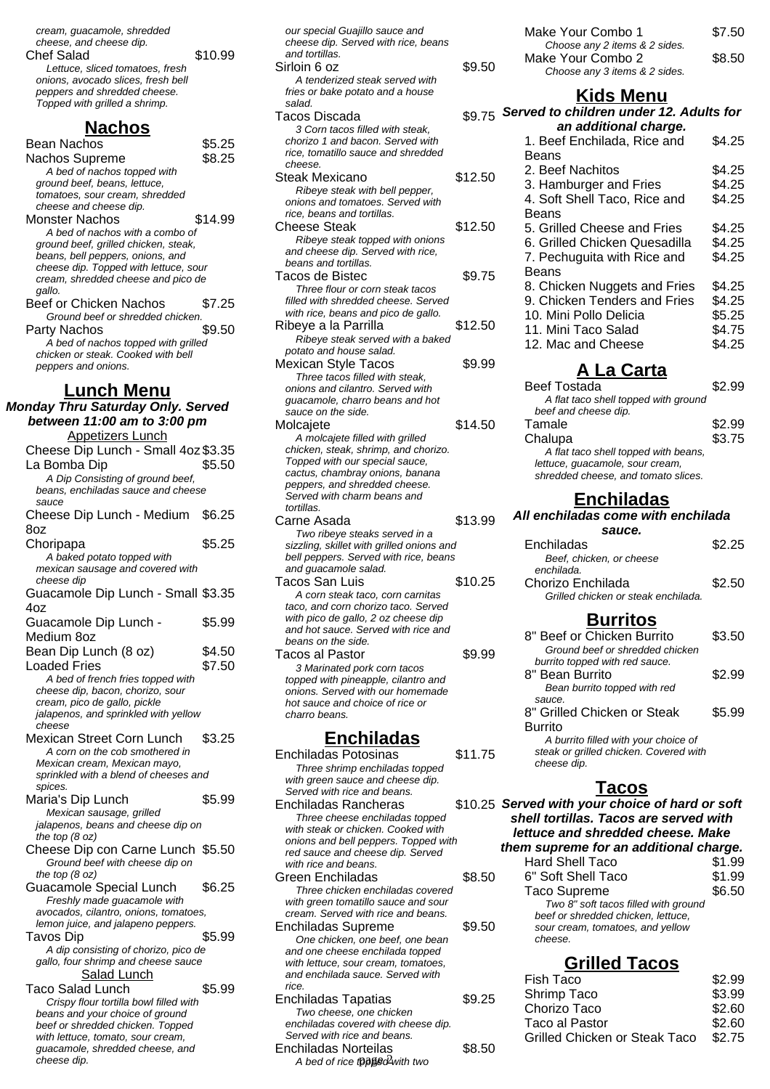| cream, guacamole, shredded<br>cheese, and cheese dip.<br><b>Chef Salad</b>                            | \$10.99 |
|-------------------------------------------------------------------------------------------------------|---------|
| Lettuce, sliced tomatoes, fresh<br>onions, avocado slices, fresh bell<br>peppers and shredded cheese. |         |
| Topped with grilled a shrimp.                                                                         |         |

### **Nachos**

| <b>Bean Nachos</b>                                                          | \$5.25  |
|-----------------------------------------------------------------------------|---------|
| Nachos Supreme                                                              | \$8.25  |
| A bed of nachos topped with<br>ground beef, beans, lettuce,                 |         |
| tomatoes, sour cream, shredded                                              |         |
| cheese and cheese dip.                                                      |         |
| Monster Nachos<br>A bed of nachos with a combo of                           | \$14.99 |
| ground beef, grilled chicken, steak,                                        |         |
| beans, bell peppers, onions, and                                            |         |
| cheese dip. Topped with lettuce, sour<br>cream, shredded cheese and pico de |         |
| gallo.                                                                      |         |
| Beef or Chicken Nachos<br>Ground beef or shredded chicken.                  | \$7.25  |
| Party Nachos                                                                | \$9.50  |
| A bed of nachos topped with grilled                                         |         |
| chicken or steak. Cooked with bell<br>peppers and onions.                   |         |
| <b>Lunch Menu</b>                                                           |         |
| <b>Monday Thru Saturday Only. Served</b>                                    |         |
| between 11:00 am to 3:00 pm                                                 |         |
| <b>Appetizers Lunch</b>                                                     |         |
| Cheese Dip Lunch - Small 4oz \$3.35                                         |         |
| La Bomba Dip                                                                | \$5.50  |
| A Dip Consisting of ground beef,<br>beans, enchiladas sauce and cheese      |         |
| sauce                                                                       |         |
| Cheese Dip Lunch - Medium                                                   | \$6.25  |
| 8oz                                                                         | \$5.25  |
| Choripapa<br>A baked potato topped with                                     |         |
| mexican sausage and covered with                                            |         |
| cheese dip                                                                  |         |
| Guacamole Dip Lunch - Small \$3.35<br>4oz                                   |         |
| Guacamole Dip Lunch -                                                       | \$5.99  |
| Medium 8oz                                                                  |         |
| Bean Dip Lunch (8 oz)                                                       | \$4.50  |
| <b>Loaded Fries</b>                                                         | \$7.50  |
| A bed of french fries topped with<br>cheese dip, bacon, chorizo, sour       |         |
| cream, pico de gallo, pickle                                                |         |
| jalapenos, and sprinkled with yellow<br>cheese                              |         |
| Mexican Street Corn Lunch                                                   | \$3.25  |
| A corn on the cob smothered in                                              |         |
| Mexican cream, Mexican mayo,<br>sprinkled with a blend of cheeses and       |         |
| spices.                                                                     |         |
| Maria's Dip Lunch                                                           | \$5.99  |
| Mexican sausage, grilled<br>jalapenos, beans and cheese dip on              |         |
| the top $(8 \text{ oz})$                                                    |         |
| Cheese Dip con Carne Lunch \$5.50                                           |         |
| Ground beef with cheese dip on<br>the top $(8 oz)$                          |         |
| Guacamole Special Lunch                                                     | \$6.25  |
| Freshly made guacamole with<br>avocados, cilantro, onions, tomatoes,        |         |
| lemon juice, and jalapeno peppers.                                          |         |
| Tavos Dip                                                                   | \$5.99  |
| A dip consisting of chorizo, pico de<br>gallo, four shrimp and cheese sauce |         |
| Salad Lunch                                                                 |         |
| Taco Salad Lunch                                                            | \$5.99  |
| Crispy flour tortilla bowl filled with                                      |         |
| beans and your choice of ground<br>beef or shredded chicken. Topped         |         |
| with lettuce, tomato, sour cream,                                           |         |

guacamole, shredded cheese, and

cheese dip.

our special Guajillo sauce and cheese dip. Served with rice, beans and tortillas. Sirloin 6 oz  $$9.50$ A tenderized steak served with fries or bake potato and a house salad. Tacos Discada 3 Corn tacos filled with steak, chorizo 1 and bacon. Served with rice, tomatillo sauce and shredded cheese. Steak Mexicano  $$12.50$ Ribeye steak with bell pepper, onions and tomatoes. Served with rice, beans and tortillas. Cheese Steak \$12.50 Ribeye steak topped with onions and cheese dip. Served with rice, beans and tortillas. Tacos de Bistec  $$9.75$ Three flour or corn steak tacos filled with shredded cheese. Served with rice, beans and pico de gallo. Ribeye a la Parrilla  $$12.50$ Ribeye steak served with a baked potato and house salad. Mexican Style Tacos \$9.99 Three tacos filled with steak, onions and cilantro. Served with guacamole, charro beans and hot sauce on the side. Molcaiete \$14.50 A molcajete filled with grilled chicken, steak, shrimp, and chorizo. Topped with our special sauce, cactus, chambray onions, banana peppers, and shredded cheese. Served with charm beans and tortillas. Carne Asada  $$13.99$ Two ribeye steaks served in a sizzling, skillet with grilled onions and bell peppers. Served with rice, beans and guacamole salad. Tacos San Luis \$10.25 A corn steak taco, corn carnitas taco, and corn chorizo taco. Served with pico de gallo, 2 oz cheese dip and hot sauce. Served with rice and beans on the side. Tacos al Pastor **\$9.99** 3 Marinated pork corn tacos topped with pineapple, cilantro and onions. Served with our homemade hot sauce and choice of rice or charro beans.

#### **Enchiladas**

| Enchiladas Potosinas                      | \$11.75 |
|-------------------------------------------|---------|
| Three shrimp enchiladas topped            |         |
| with green sauce and cheese dip.          |         |
| Served with rice and beans.               |         |
| Enchiladas Rancheras                      | \$10.25 |
| Three cheese enchiladas topped            |         |
| with steak or chicken. Cooked with        |         |
| onions and bell peppers. Topped with      |         |
| red sauce and cheese dip. Served          |         |
| with rice and beans.                      |         |
| Green Enchiladas                          | \$8.50  |
| Three chicken enchiladas covered          |         |
| with green tomatillo sauce and sour       |         |
| cream. Served with rice and beans.        |         |
| Enchiladas Supreme                        | \$9.50  |
| One chicken, one beef, one bean           |         |
| and one cheese enchilada topped           |         |
| with lettuce, sour cream, tomatoes,       |         |
| and enchilada sauce. Served with          |         |
| rice.                                     |         |
| Enchiladas Tapatias                       | \$9.25  |
| Two cheese, one chicken                   |         |
| enchiladas covered with cheese dip.       |         |
| Served with rice and beans.               |         |
| Enchiladas Norteilas                      | \$8.50  |
| A bed of rice <b>tවඩුපිදි</b> ර Awith two |         |

| Make Your Combo 1             | \$7.50 |
|-------------------------------|--------|
| Choose any 2 items & 2 sides. |        |
| Make Your Combo 2             | \$8.50 |
| Choose any 3 items & 2 sides. |        |

#### **Kids Menu**

#### \$9.75 Served to children under 12. Adults for **an additional charge.** 1. Beef Enchilada, Rice and Beans \$4.25 2. Beef Nachitos **\$4.25** 3. Hamburger and Fries \$4.25 4. Soft Shell Taco, Rice and Beans \$4.25 5. Grilled Cheese and Fries \$4.25 6. Grilled Chicken Quesadilla \$4.25 7. Pechuguita with Rice and Beans \$4.25 8. Chicken Nuggets and Fries \$4.25 9. Chicken Tenders and Fries \$4.25 10. Mini Pollo Delicia  $$5.25$ 11. Mini Taco Salad \$4.75 12. Mac and Cheese \$4.25

#### **A La Carta**

| <b>Beef Tostada</b>                  | \$2.99 |
|--------------------------------------|--------|
| A flat taco shell topped with ground |        |
| beef and cheese dip.                 |        |
| Tamale                               | \$2.99 |
| Chalupa                              | \$3.75 |
| A flat taco shell topped with beans, |        |
| lettuce, guacamole, sour cream,      |        |
| shredded cheese, and tomato slices.  |        |

#### **Enchiladas**

#### **All enchiladas come with enchilada**

| sauce.                              |        |
|-------------------------------------|--------|
| Enchiladas                          | \$2.25 |
| Beef, chicken, or cheese            |        |
| enchilada.                          |        |
| Chorizo Enchilada                   | \$2.50 |
| Grilled chicken or steak enchilada. |        |

### **Burritos**

| 8" Beef or Chicken Burrito             | \$3.50 |
|----------------------------------------|--------|
| Ground beef or shredded chicken        |        |
| burrito topped with red sauce.         |        |
| 8" Bean Burrito                        | \$2.99 |
| Bean burrito topped with red           |        |
| sauce.                                 |        |
| 8" Grilled Chicken or Steak            | \$5.99 |
| Burrito                                |        |
| A burrito filled with your choice of   |        |
| steak or grilled chicken. Covered with |        |
| cheese dip.                            |        |
|                                        |        |

#### **Tacos**

**Served with your choice of hard or soft shell tortillas. Tacos are served with lettuce and shredded cheese. Make them supreme for an additional charge.**

| <b>Hard Shell Taco</b>               | \$1.99 |
|--------------------------------------|--------|
| 6" Soft Shell Taco                   | \$1.99 |
| <b>Taco Supreme</b>                  | \$6.50 |
| Two 8" soft tacos filled with ground |        |
| beef or shredded chicken, lettuce,   |        |
| sour cream, tomatoes, and yellow     |        |
| cheese.                              |        |
|                                      |        |

### **Grilled Tacos**

| Fish Taco                     | \$2.99 |
|-------------------------------|--------|
| Shrimp Taco                   | \$3.99 |
| Chorizo Taco                  | \$2.60 |
| Taco al Pastor                | \$2.60 |
| Grilled Chicken or Steak Taco | \$2.75 |
|                               |        |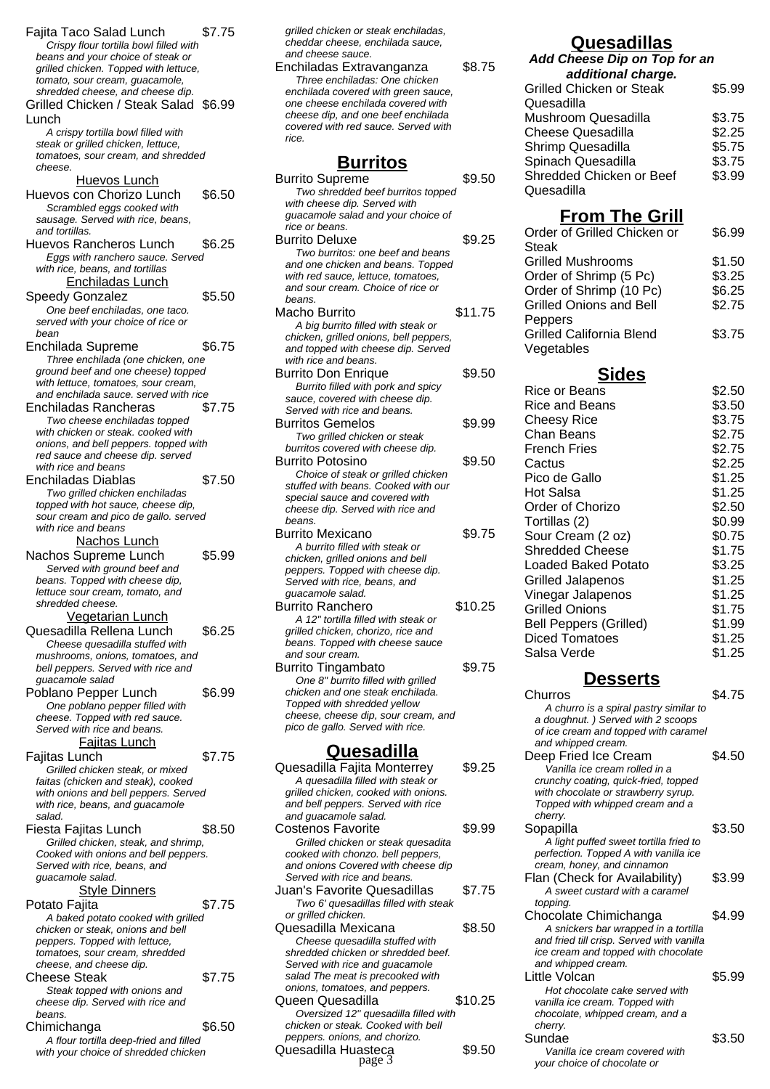Fajita Taco Salad Lunch \$7.75 Crispy flour tortilla bowl filled with beans and your choice of steak or grilled chicken. Topped with lettuce, tomato, sour cream, guacamole, shredded cheese, and cheese dip. Grilled Chicken / Steak Salad \$6.99 Lunch A crispy tortilla bowl filled with steak or grilled chicken, lettuce, tomatoes, sour cream, and shredded cheese. Huevos Lunch Huevos con Chorizo Lunch \$6.50 Scrambled eggs cooked with sausage. Served with rice, beans, and tortillas. Huevos Rancheros Lunch \$6.25 Eggs with ranchero sauce. Served with rice, beans, and tortillas Enchiladas Lunch Speedy Gonzalez \$5.50 One beef enchiladas, one taco. served with your choice of rice or bean Enchilada Supreme \$6.75 Three enchilada (one chicken, one ground beef and one cheese) topped with lettuce, tomatoes, sour cream. and enchilada sauce. served with rice Enchiladas Rancheras \$7.75 Two cheese enchiladas topped with chicken or steak. cooked with onions, and bell peppers. topped with red sauce and cheese dip. served with rice and beans Enchiladas Diablas \$7.50 Two grilled chicken enchiladas topped with hot sauce, cheese dip, sour cream and pico de gallo. served with rice and beans Nachos Lunch Nachos Supreme Lunch \$5.99 Served with ground beef and beans. Topped with cheese dip, lettuce sour cream, tomato, and shredded cheese. Vegetarian Lunch Quesadilla Rellena Lunch \$6.25 Cheese quesadilla stuffed with mushrooms, onions, tomatoes, and bell peppers. Served with rice and guacamole salad Poblano Pepper Lunch \$6.99 One poblano pepper filled with cheese. Topped with red sauce. Served with rice and beans. Fajitas Lunch Fajitas Lunch \$7.75 Grilled chicken steak, or mixed faitas (chicken and steak), cooked with onions and bell peppers. Served with rice, beans, and guacamole salad. Fiesta Fajitas Lunch \$8.50 Grilled chicken, steak, and shrimp, Cooked with onions and bell peppers. Served with rice, beans, and guacamole salad. **Style Dinners** Potato Fajita **\$7.75** A baked potato cooked with grilled chicken or steak, onions and bell peppers. Topped with lettuce, tomatoes, sour cream, shredded cheese, and cheese dip. Cheese Steak \$7.75 Steak topped with onions and cheese dip. Served with rice and beans. Chimichanga \$6.50

A flour tortilla deep-fried and filled with your choice of shredded chicken grilled chicken or steak enchiladas, cheddar cheese, enchilada sauce, and cheese sauce.

Enchiladas Extravanganza \$8.75 Three enchiladas: One chicken enchilada covered with green sauce, one cheese enchilada covered with cheese dip, and one beef enchilada covered with red sauce. Served with rice.

#### **Burritos**

| <b>Burrito Supreme</b>                                                       | \$9.50  |
|------------------------------------------------------------------------------|---------|
| Two shredded beef burritos topped                                            |         |
| with cheese dip. Served with                                                 |         |
| guacamole salad and your choice of                                           |         |
| rice or beans.                                                               |         |
| <b>Burrito Deluxe</b>                                                        | \$9.25  |
| Two burritos: one beef and beans                                             |         |
| and one chicken and beans. Topped                                            |         |
| with red sauce, lettuce, tomatoes,                                           |         |
| and sour cream. Choice of rice or                                            |         |
| beans.                                                                       |         |
| Macho Burrito                                                                | \$11.75 |
| A big burrito filled with steak or                                           |         |
| chicken, grilled onions, bell peppers,<br>and topped with cheese dip. Served |         |
| with rice and beans.                                                         |         |
| <b>Burrito Don Enrique</b>                                                   | \$9.50  |
| Burrito filled with pork and spicy                                           |         |
| sauce, covered with cheese dip.                                              |         |
| Served with rice and beans.                                                  |         |
| Burritos Gemelos                                                             | \$9.99  |
| Two grilled chicken or steak                                                 |         |
| burritos covered with cheese dip.                                            |         |
| Burrito Potosino                                                             | \$9.50  |
| Choice of steak or grilled chicken                                           |         |
| stuffed with beans. Cooked with our                                          |         |
| special sauce and covered with                                               |         |
| cheese dip. Served with rice and                                             |         |
| beans.                                                                       |         |
| Burrito Mexicano                                                             | \$9.75  |
| A burrito filled with steak or                                               |         |
| chicken, grilled onions and bell                                             |         |
| peppers. Topped with cheese dip.                                             |         |
| Served with rice, beans, and<br>guacamole salad.                             |         |
| Burrito Ranchero                                                             | \$10.25 |
| A 12" tortilla filled with steak or                                          |         |
| grilled chicken, chorizo, rice and                                           |         |
| beans. Topped with cheese sauce                                              |         |
| and sour cream.                                                              |         |
| Burrito Tingambato                                                           | \$9.75  |
| One 8" burrito filled with grilled                                           |         |
| chicken and one steak enchilada.                                             |         |
| Topped with shredded yellow                                                  |         |
| cheese, cheese dip, sour cream, and                                          |         |
| pico de gallo. Served with rice.                                             |         |
| <u>Quesadilla</u>                                                            |         |
|                                                                              |         |
| Quesadilla Fajita Monterrey                                                  | \$9.25  |
| A quesadilla filled with steak or                                            |         |
| grilled chicken, cooked with onions.<br>and bell peppers. Served with rice   |         |
| and guacamole salad.                                                         |         |
| Costenos Favorite                                                            | \$9.99  |
|                                                                              |         |

cooked with chonzo. bell peppers, and onions Covered with cheese dip Served with rice and beans.

or grilled chicken.

Juan's Favorite Quesadillas \$7.75 Two 6' quesadillas filled with steak

Quesadilla Mexicana \$8.50 Cheese quesadilla stuffed with shredded chicken or shredded beef. Served with rice and guacamole salad The meat is precooked with onions, tomatoes, and peppers.

Queen Quesadilla \$10.25 Oversized 12'' quesadilla filled with chicken or steak. Cooked with bell peppers. onions, and chorizo.

Quesadilla Huasteca<br>
page 3<br>
page 3

#### **Quesadillas Add Cheese Dip on Top for an**

| additional charge.              |        |  |  |
|---------------------------------|--------|--|--|
| <b>Grilled Chicken or Steak</b> | \$5.99 |  |  |
| Quesadilla                      |        |  |  |
| Mushroom Quesadilla             | \$3.75 |  |  |
| <b>Cheese Quesadilla</b>        | \$2.25 |  |  |
| Shrimp Quesadilla               | \$5.75 |  |  |
| Spinach Quesadilla              | \$3.75 |  |  |
| Shredded Chicken or Beef        | \$3.99 |  |  |
| Quesadilla                      |        |  |  |

# **From The Grill**

| Order of Grilled Chicken or     | \$6.99 |
|---------------------------------|--------|
| Steak                           |        |
| <b>Grilled Mushrooms</b>        | \$1.50 |
| Order of Shrimp (5 Pc)          | \$3.25 |
| Order of Shrimp (10 Pc)         | \$6.25 |
| <b>Grilled Onions and Bell</b>  | \$2.75 |
| Peppers                         |        |
| <b>Grilled California Blend</b> | \$3.75 |
| Vegetables                      |        |
|                                 |        |

## **Sides**

| Rice or Beans                 | \$2.50 |
|-------------------------------|--------|
| Rice and Beans                | \$3.50 |
| Cheesy Rice                   | \$3.75 |
| Chan Beans                    | \$2.75 |
| French Fries                  | \$2.75 |
| Cactus                        | \$2.25 |
| Pico de Gallo                 | \$1.25 |
| Hot Salsa                     | \$1.25 |
| Order of Chorizo              | \$2.50 |
| Tortillas (2)                 | \$0.99 |
| Sour Cream (2 oz)             | \$0.75 |
| <b>Shredded Cheese</b>        | \$1.75 |
| Loaded Baked Potato           | \$3.25 |
| Grilled Jalapenos             | \$1.25 |
| Vinegar Jalapenos             | \$1.25 |
| <b>Grilled Onions</b>         | \$1.75 |
| <b>Bell Peppers (Grilled)</b> | \$1.99 |
| <b>Diced Tomatoes</b>         | \$1.25 |
| Salsa Verde                   | \$1.25 |
|                               |        |

## **Desserts**

| e steak enchilada.<br>edded vellow<br>dip, sour cream, and<br>erved with rice.                |         | Churros<br>A churro is a spiral pastry similar to<br>a doughnut.) Served with 2 scoops<br>of ice cream and topped with caramel<br>and whipped cream.                    | \$4.75 |
|-----------------------------------------------------------------------------------------------|---------|-------------------------------------------------------------------------------------------------------------------------------------------------------------------------|--------|
| <u>sadilla</u>                                                                                |         | Deep Fried Ice Cream                                                                                                                                                    | \$4.50 |
| ita Monterrev<br>illed with steak or<br>cooked with onions.<br>s. Served with rice<br>salad.  | \$9.25  | Vanilla ice cream rolled in a<br>crunchy coating, quick-fried, topped<br>with chocolate or strawberry syrup.<br>Topped with whipped cream and a<br>cherry.              |        |
| orite<br>n or steak quesadita<br>nzo. bell peppers,<br>ered with cheese dip                   | \$9.99  | Sopapilla<br>A light puffed sweet tortilla fried to<br>perfection. Topped A with vanilla ice<br>cream, honey, and cinnamon                                              | \$3.50 |
| and beans.<br>e Quesadillas<br>dillas filled with steak                                       | \$7.75  | Flan (Check for Availability)<br>A sweet custard with a caramel<br>topping.                                                                                             | \$3.99 |
| n.<br>xicana<br>adilla stuffed with<br>en or shredded beef.<br>and guacamole                  | \$8.50  | Chocolate Chimichanga<br>A snickers bar wrapped in a tortilla<br>and fried till crisp. Served with vanilla<br>ice cream and topped with chocolate<br>and whipped cream. | \$4.99 |
| is precooked with<br>s, and peppers.<br>dilla<br>" quesadilla filled with<br>Cooked with bell | \$10.25 | Little Volcan<br>Hot chocolate cake served with<br>vanilla ice cream. Topped with<br>chocolate, whipped cream, and a<br>cherry.                                         | \$5.99 |
| , and chorizo.<br>asteca<br>page 3                                                            | \$9.50  | Sundae<br>Vanilla ice cream covered with<br>your choice of chocolate or                                                                                                 | \$3.50 |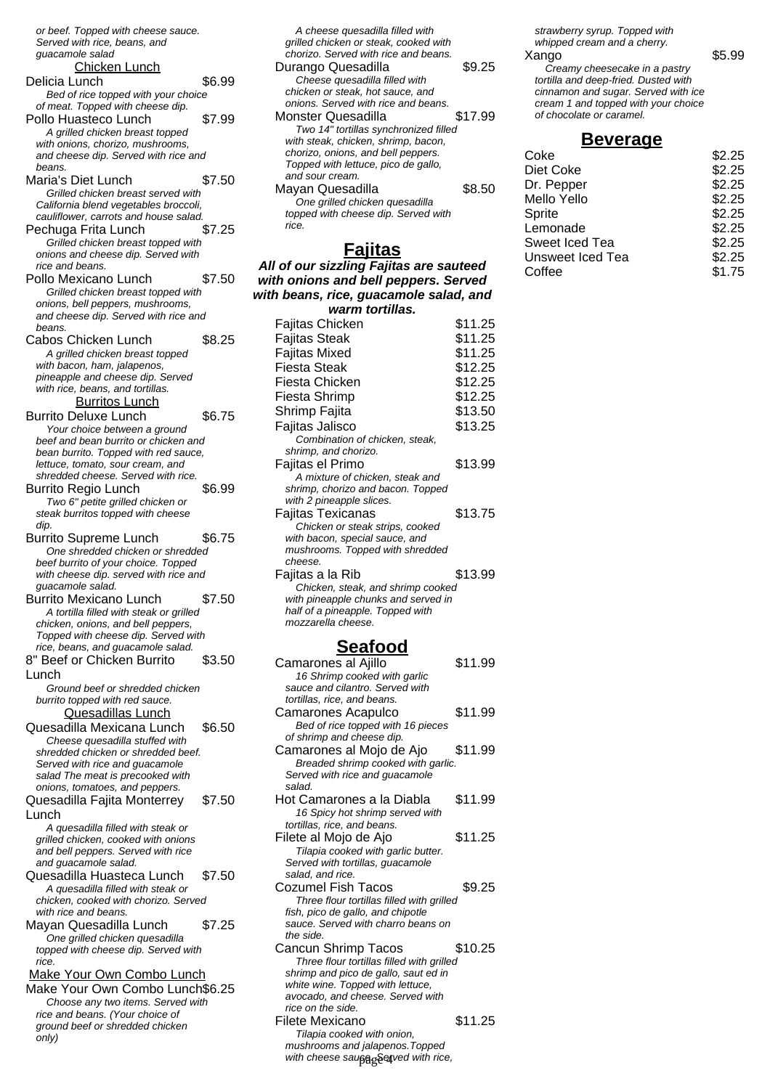or beef. Topped with cheese sauce. Served with rice, beans, and guacamole salad Chicken Lunch Delicia Lunch \$6.99 Bed of rice topped with your choice of meat. Topped with cheese dip. Pollo Huasteco Lunch \$7.99 A grilled chicken breast topped with onions, chorizo, mushrooms, and cheese dip. Served with rice and beans. Maria's Diet Lunch \$7.50 Grilled chicken breast served with California blend vegetables broccoli, cauliflower, carrots and house salad. Pechuga Frita Lunch \$7.25 Grilled chicken breast topped with onions and cheese dip. Served with rice and beans. Pollo Mexicano Lunch \$7.50 Grilled chicken breast topped with onions, bell peppers, mushrooms, and cheese dip. Served with rice and beans. Cabos Chicken Lunch \$8.25 A grilled chicken breast topped with bacon, ham, jalapenos, pineapple and cheese dip. Served with rice, beans, and tortillas. Burritos Lunch Burrito Deluxe Lunch \$6.75 Your choice between a ground beef and bean burrito or chicken and bean burrito. Topped with red sauce, lettuce, tomato, sour cream, and shredded cheese. Served with rice. Burrito Regio Lunch \$6.99 Two 6" petite grilled chicken or steak burritos topped with cheese dip. Burrito Supreme Lunch \$6.75 One shredded chicken or shredded beef burrito of your choice. Topped with cheese dip. served with rice and guacamole salad. Burrito Mexicano Lunch \$7.50 A tortilla filled with steak or grilled chicken, onions, and bell peppers, Topped with cheese dip. Served with rice, beans, and guacamole salad. 8" Beef or Chicken Burrito Lunch \$3.50 Ground beef or shredded chicken burrito topped with red sauce. Quesadillas Lunch Quesadilla Mexicana Lunch \$6.50 Cheese quesadilla stuffed with shredded chicken or shredded beef. Served with rice and guacamole salad The meat is precooked with onions, tomatoes, and peppers. Quesadilla Fajita Monterrey Lunch \$7.50 A quesadilla filled with steak or grilled chicken, cooked with onions and bell peppers. Served with rice and guacamole salad. Quesadilla Huasteca Lunch \$7.50 A quesadilla filled with steak or chicken, cooked with chorizo. Served with rice and beans. Mayan Quesadilla Lunch \$7.25 One grilled chicken quesadilla topped with cheese dip. Served with rice. Make Your Own Combo Lunch Make Your Own Combo Lunch\$6.25 Choose any two items. Served with rice and beans. (Your choice of ground beef or shredded chicken only)

grilled chicken or steak, cooked with chorizo. Served with rice and beans. Durango Quesadilla  $$9.25$ Cheese quesadilla filled with chicken or steak, hot sauce, and onions. Served with rice and beans. Monster Quesadilla **\$17.99** Two 14" tortillas synchronized filled with steak, chicken, shrimp, bacon, chorizo, onions, and bell peppers. Topped with lettuce, pico de gallo, and sour cream. Mayan Quesadilla  $$8.50$ One grilled chicken quesadilla topped with cheese dip. Served with rice. **Fajitas All of our sizzling Fajitas are sauteed with onions and bell peppers. Served with beans, rice, guacamole salad, and warm tortillas.** Fajitas Chicken \$11.25 Fajitas Steak  $$11.25$ Fajitas Mixed \$11.25 Fiesta Steak \$12.25 Fiesta Chicken \$12.25 Fiesta Shrimp \$12.25 Shrimp Fajita  $$13.50$ Fajitas Jalisco  $$13.25$ Combination of chicken, steak, shrimp, and chorizo. Fajitas el Primo  $$13.99$ A mixture of chicken, steak and shrimp, chorizo and bacon. Topped with 2 pineapple slices. Fajitas Texicanas \$13.75 Chicken or steak strips, cooked with bacon, special sauce, and mushrooms. Topped with shredded cheese. Faiitas a la Rib  $$13.99$ Chicken, steak, and shrimp cooked with pineapple chunks and served in half of a pineapple. Topped with mozzarella cheese.

A cheese quesadilla filled with

### **Seafood**

| Camarones al Ajillo<br>16 Shrimp cooked with garlic<br>sauce and cilantro. Served with<br>tortillas, rice, and beans.                                                                                        | \$11.99 |
|--------------------------------------------------------------------------------------------------------------------------------------------------------------------------------------------------------------|---------|
| Camarones Acapulco<br>Bed of rice topped with 16 pieces<br>of shrimp and cheese dip.                                                                                                                         | \$11.99 |
| Camarones al Mojo de Ajo<br>Breaded shrimp cooked with garlic.<br>Served with rice and quacamole<br>salad.                                                                                                   | \$11.99 |
| Hot Camarones a la Diabla<br>16 Spicy hot shrimp served with<br>tortillas, rice, and beans.                                                                                                                  | \$11.99 |
| Filete al Mojo de Ajo<br>Tilapia cooked with garlic butter.<br>Served with tortillas, guacamole<br>salad, and rice.                                                                                          | \$11.25 |
| Cozumel Fish Tacos<br>Three flour tortillas filled with grilled<br>fish, pico de gallo, and chipotle<br>sauce. Served with charro beans on<br>the side.                                                      | \$9.25  |
| <b>Cancun Shrimp Tacos</b><br>Three flour tortillas filled with grilled<br>shrimp and pico de gallo, saut ed in<br>white wine. Topped with lettuce,<br>avocado, and cheese. Served with<br>rice on the side. | \$10.25 |
| Filete Mexicano<br>Tilapia cooked with onion,<br>mushrooms and jalapenos. Topped<br>with cheese sau <sub>bag</sub> Setved with rice,                                                                         | \$11.25 |

strawberry syrup. Topped with whipped cream and a cherry.

#### Xango \$5.99 Creamy cheesecake in a pastry tortilla and deep-fried. Dusted with cinnamon and sugar. Served with ice cream 1 and topped with your choice of chocolate or caramel.

#### **Beverage**

| Coke             | \$2.25 |
|------------------|--------|
| Diet Coke        | \$2.25 |
| Dr. Pepper       | \$2.25 |
| Mello Yello      | \$2.25 |
| Sprite           | \$2.25 |
| Lemonade         | \$2.25 |
| Sweet Iced Tea   | \$2.25 |
| Unsweet Iced Tea | \$2.25 |
| Coffee           | \$1.75 |